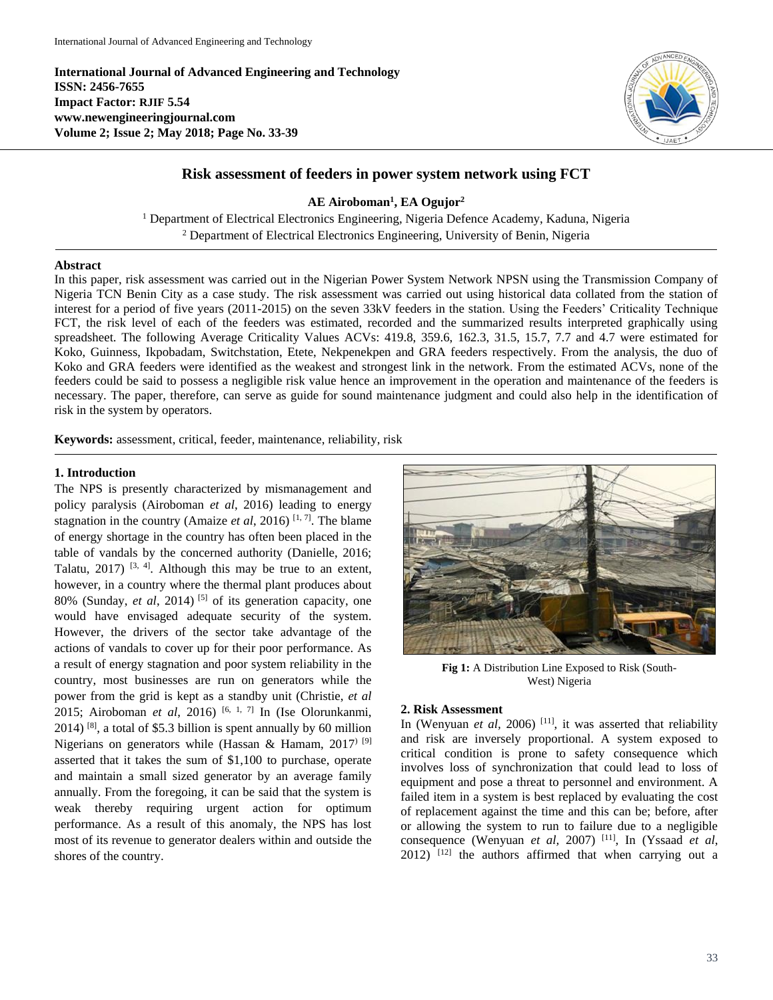**International Journal of Advanced Engineering and Technology ISSN: 2456-7655 Impact Factor: RJIF 5.54 www.newengineeringjournal.com Volume 2; Issue 2; May 2018; Page No. 33-39**



# **Risk assessment of feeders in power system network using FCT**

**AE Airoboman<sup>1</sup> , EA Ogujor<sup>2</sup>**

<sup>1</sup> Department of Electrical Electronics Engineering, Nigeria Defence Academy, Kaduna, Nigeria <sup>2</sup> Department of Electrical Electronics Engineering, University of Benin, Nigeria

#### **Abstract**

In this paper, risk assessment was carried out in the Nigerian Power System Network NPSN using the Transmission Company of Nigeria TCN Benin City as a case study. The risk assessment was carried out using historical data collated from the station of interest for a period of five years (2011-2015) on the seven 33kV feeders in the station. Using the Feeders' Criticality Technique FCT, the risk level of each of the feeders was estimated, recorded and the summarized results interpreted graphically using spreadsheet. The following Average Criticality Values ACVs: 419.8, 359.6, 162.3, 31.5, 15.7, 7.7 and 4.7 were estimated for Koko, Guinness, Ikpobadam, Switchstation, Etete, Nekpenekpen and GRA feeders respectively. From the analysis, the duo of Koko and GRA feeders were identified as the weakest and strongest link in the network. From the estimated ACVs, none of the feeders could be said to possess a negligible risk value hence an improvement in the operation and maintenance of the feeders is necessary. The paper, therefore, can serve as guide for sound maintenance judgment and could also help in the identification of risk in the system by operators.

**Keywords:** assessment, critical, feeder, maintenance, reliability, risk

### **1. Introduction**

The NPS is presently characterized by mismanagement and policy paralysis (Airoboman *et al*, 2016) leading to energy stagnation in the country (Amaize *et al*, 2016)<sup>[1, 7]</sup>. The blame of energy shortage in the country has often been placed in the table of vandals by the concerned authority (Danielle, 2016; Talatu,  $2017$ ) <sup>[3, 4]</sup>. Although this may be true to an extent, however, in a country where the thermal plant produces about 80% (Sunday, *et al*, 2014) [5] of its generation capacity, one would have envisaged adequate security of the system. However, the drivers of the sector take advantage of the actions of vandals to cover up for their poor performance. As a result of energy stagnation and poor system reliability in the country, most businesses are run on generators while the power from the grid is kept as a standby unit (Christie, *et al* 2015; Airoboman *et al*, 2016) <sup>[6, 1, 7]</sup> In (Ise Olorunkanmi, 2014) [8] , a total of \$5.3 billion is spent annually by 60 million Nigerians on generators while (Hassan & Hamam,  $2017$ )<sup>[9]</sup> asserted that it takes the sum of \$1,100 to purchase, operate and maintain a small sized generator by an average family annually. From the foregoing, it can be said that the system is weak thereby requiring urgent action for optimum performance. As a result of this anomaly, the NPS has lost most of its revenue to generator dealers within and outside the shores of the country.



**Fig 1:** A Distribution Line Exposed to Risk (South-West) Nigeria

#### **2. Risk Assessment**

In (Wenyuan *et al,* 2006)<sup>[11]</sup>, it was asserted that reliability and risk are inversely proportional. A system exposed to critical condition is prone to safety consequence which involves loss of synchronization that could lead to loss of equipment and pose a threat to personnel and environment. A failed item in a system is best replaced by evaluating the cost of replacement against the time and this can be; before, after or allowing the system to run to failure due to a negligible consequence (Wenyuan *et al,* 2007) [11], In (Yssaad *et al*,  $2012$ )  $[12]$  the authors affirmed that when carrying out a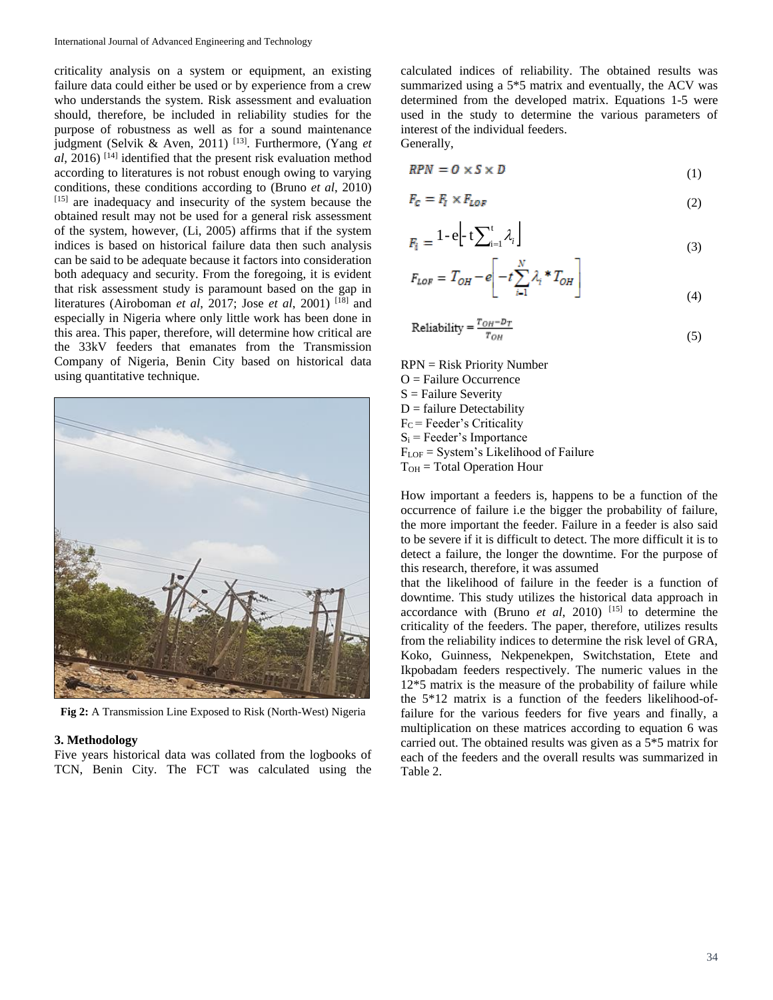criticality analysis on a system or equipment, an existing failure data could either be used or by experience from a crew who understands the system. Risk assessment and evaluation should, therefore, be included in reliability studies for the purpose of robustness as well as for a sound maintenance judgment (Selvik & Aven, 2011) [13]. Furthermore, (Yang *et al*, 2016) [14] identified that the present risk evaluation method according to literatures is not robust enough owing to varying conditions, these conditions according to (Bruno *et al*, 2010) [15] are inadequacy and insecurity of the system because the obtained result may not be used for a general risk assessment of the system, however, (Li, 2005) affirms that if the system indices is based on historical failure data then such analysis can be said to be adequate because it factors into consideration both adequacy and security. From the foregoing, it is evident that risk assessment study is paramount based on the gap in literatures (Airoboman *et al*, 2017; Jose *et al*, 2001) [18] and especially in Nigeria where only little work has been done in this area. This paper, therefore, will determine how critical are the 33kV feeders that emanates from the Transmission Company of Nigeria, Benin City based on historical data using quantitative technique.



**Fig 2:** A Transmission Line Exposed to Risk (North-West) Nigeria

#### **3. Methodology**

Five years historical data was collated from the logbooks of TCN, Benin City. The FCT was calculated using the

calculated indices of reliability. The obtained results was summarized using a 5\*5 matrix and eventually, the ACV was determined from the developed matrix. Equations 1-5 were used in the study to determine the various parameters of interest of the individual feeders. Generally,

$$
RPN = 0 \times S \times D \tag{1}
$$

$$
F_c = F_l \times F_{LOF} \tag{2}
$$

$$
F_i = 1 - e \left[ -t \sum_{i=1}^t \lambda_i \right] \tag{3}
$$

$$
F_{LOF} = T_{OH} - e \left[ -t \sum_{i=1}^{N} \lambda_i * T_{OH} \right]
$$
\n(4)

$$
Reliability = \frac{T_{OH} - D_T}{T_{OH}} \tag{5}
$$

- RPN = Risk Priority Number O = Failure Occurrence
- $S =$  Failure Severity
- $D =$  failure Detectability
- $F_C$  = Feeder's Criticality
- $S_i$  = Feeder's Importance
- $F_{\text{LOF}}$  = System's Likelihood of Failure
- $T<sub>OH</sub> = Total Operation Hour$

How important a feeders is, happens to be a function of the occurrence of failure i.e the bigger the probability of failure, the more important the feeder. Failure in a feeder is also said to be severe if it is difficult to detect. The more difficult it is to detect a failure, the longer the downtime. For the purpose of this research, therefore, it was assumed

that the likelihood of failure in the feeder is a function of downtime. This study utilizes the historical data approach in accordance with (Bruno *et al*, 2010) [15] to determine the criticality of the feeders. The paper, therefore, utilizes results from the reliability indices to determine the risk level of GRA, Koko, Guinness, Nekpenekpen, Switchstation, Etete and Ikpobadam feeders respectively. The numeric values in the 12\*5 matrix is the measure of the probability of failure while the 5\*12 matrix is a function of the feeders likelihood-offailure for the various feeders for five years and finally, a multiplication on these matrices according to equation 6 was carried out. The obtained results was given as a 5\*5 matrix for each of the feeders and the overall results was summarized in Table 2.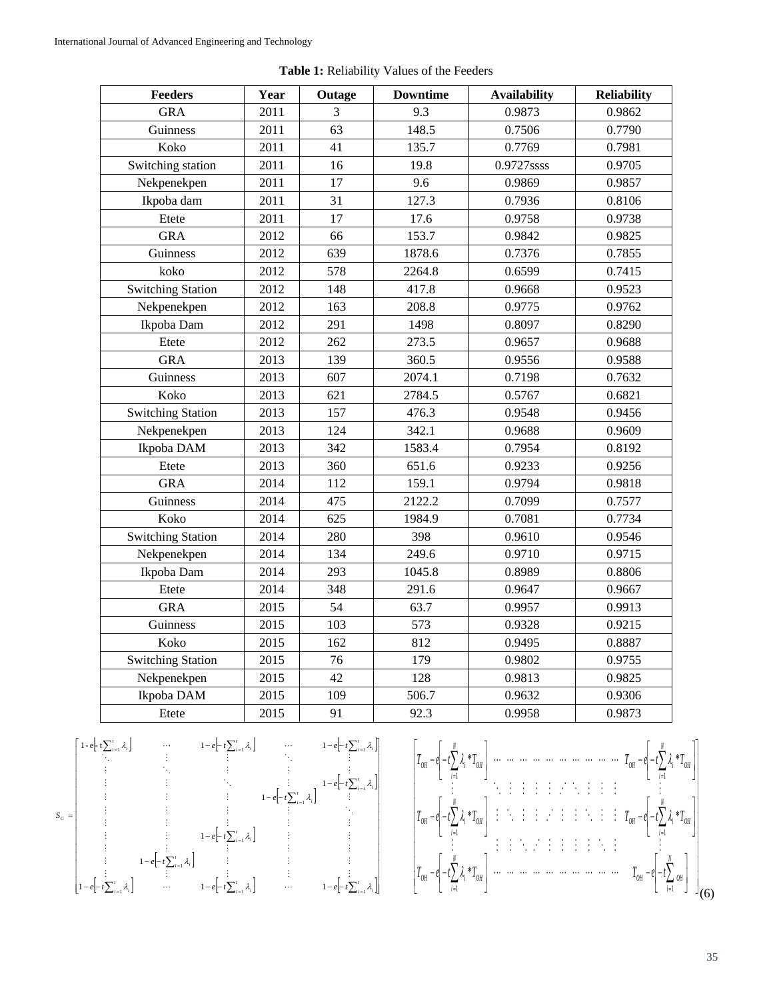| <b>Feeders</b>           | Year | Outage | <b>Downtime</b> | <b>Availability</b> | <b>Reliability</b> |
|--------------------------|------|--------|-----------------|---------------------|--------------------|
| <b>GRA</b>               | 2011 | 3      | 9.3             | 0.9873              | 0.9862             |
| Guinness                 | 2011 | 63     | 148.5           | 0.7506              | 0.7790             |
| Koko                     | 2011 | 41     | 135.7           | 0.7769              | 0.7981             |
| Switching station        | 2011 | 16     | 19.8            | 0.9727ssss          | 0.9705             |
| Nekpenekpen              | 2011 | 17     | 9.6             | 0.9869              | 0.9857             |
| Ikpoba dam               | 2011 | 31     | 127.3           | 0.7936              | 0.8106             |
| Etete                    | 2011 | 17     | 17.6            | 0.9758              | 0.9738             |
| <b>GRA</b>               | 2012 | 66     | 153.7           | 0.9842              | 0.9825             |
| Guinness                 | 2012 | 639    | 1878.6          | 0.7376              | 0.7855             |
| koko                     | 2012 | 578    | 2264.8          | 0.6599              | 0.7415             |
| <b>Switching Station</b> | 2012 | 148    | 417.8           | 0.9668              | 0.9523             |
| Nekpenekpen              | 2012 | 163    | 208.8           | 0.9775              | 0.9762             |
| Ikpoba Dam               | 2012 | 291    | 1498            | 0.8097              | 0.8290             |
| Etete                    | 2012 | 262    | 273.5           | 0.9657              | 0.9688             |
| <b>GRA</b>               | 2013 | 139    | 360.5           | 0.9556              | 0.9588             |
| Guinness                 | 2013 | 607    | 2074.1          | 0.7198              | 0.7632             |
| Koko                     | 2013 | 621    | 2784.5          | 0.5767              | 0.6821             |
| <b>Switching Station</b> | 2013 | 157    | 476.3           | 0.9548              | 0.9456             |
| Nekpenekpen              | 2013 | 124    | 342.1           | 0.9688              | 0.9609             |
| Ikpoba DAM               | 2013 | 342    | 1583.4          | 0.7954              | 0.8192             |
| Etete                    | 2013 | 360    | 651.6           | 0.9233              | 0.9256             |
| <b>GRA</b>               | 2014 | 112    | 159.1           | 0.9794              | 0.9818             |
| Guinness                 | 2014 | 475    | 2122.2          | 0.7099              | 0.7577             |
| Koko                     | 2014 | 625    | 1984.9          | 0.7081              | 0.7734             |
| <b>Switching Station</b> | 2014 | 280    | 398             | 0.9610              | 0.9546             |
| Nekpenekpen              | 2014 | 134    | 249.6           | 0.9710              | 0.9715             |
| Ikpoba Dam               | 2014 | 293    | 1045.8          | 0.8989              | 0.8806             |
| Etete                    | 2014 | 348    | 291.6           | 0.9647              | 0.9667             |
| <b>GRA</b>               | 2015 | 54     | 63.7            | 0.9957              | 0.9913             |
| Guinness                 | 2015 | 103    | 573             | 0.9328              | 0.9215             |
| Koko                     | 2015 | 162    | 812             | 0.9495              | 0.8887             |
| <b>Switching Station</b> | 2015 | 76     | 179             | 0.9802              | 0.9755             |
| Nekpenekpen              | 2015 | 42     | 128             | 0.9813              | 0.9825             |
| Ikpoba DAM               | 2015 | 109    | 506.7           | 0.9632              | 0.9306             |
| Etete                    | 2015 | 91     | 92.3            | 0.9958              | 0.9873             |

**Table 1:** Reliability Values of the Feeders

$$
S_C = \begin{bmatrix}\n1-e^{\int_{-t}^{t} \sum_{i=1}^{t} \lambda_i} & \cdots & 1-e^{\int_{-t}^{t} \sum_{i=1}^{t} \lambda_i} & \cdots & 1-e^{\int_{-t}^{t} \sum_{i=1}^{t} \lambda_i} \\
\vdots & \vdots & \ddots & \vdots & \vdots \\
\vdots & \vdots & \ddots & \vdots & \vdots \\
\vdots & \vdots & \vdots & \ddots & \vdots \\
\vdots & \vdots & \vdots & \vdots & \vdots \\
\vdots & \vdots & \vdots & \vdots & \vdots \\
\vdots & \vdots & \vdots & \vdots & \vdots \\
\vdots & \vdots & \vdots & \vdots & \vdots \\
\vdots & \vdots & \vdots & \vdots & \vdots \\
\vdots & \vdots & \vdots & \vdots & \vdots \\
\vdots & \vdots & \vdots & \vdots & \vdots \\
\vdots & \vdots & \vdots & \vdots & \vdots \\
\vdots & \vdots & \vdots & \vdots & \vdots \\
\vdots & \vdots & \vdots & \vdots & \vdots \\
\vdots & \vdots & \vdots & \vdots & \vdots \\
\vdots & \vdots & \vdots & \vdots & \vdots \\
\vdots & \vdots & \vdots & \vdots & \vdots \\
\vdots & \vdots & \vdots & \vdots & \vdots \\
\vdots & \vdots & \vdots & \vdots & \vdots \\
\vdots & \vdots & \vdots & \vdots & \vdots \\
\vdots & \vdots & \vdots & \vdots & \vdots \\
\vdots & \vdots & \vdots & \vdots & \vdots \\
\vdots & \vdots & \vdots & \vdots & \vdots \\
\vdots & \vdots & \vdots & \vdots & \vdots \\
\vdots & \vdots & \vdots & \vdots & \vdots \\
\vdots & \vdots & \vdots & \vdots & \vdots \\
\vdots & \vdots & \vdots & \vdots & \vdots \\
\vdots & \vdots & \vdots & \vdots & \vdots \\
\vdots & \vdots & \vdots & \vdots & \vdots \\
\vdots & \vdots & \vdots & \vdots & \vdots \\
\vdots & \vdots & \vdots & \vdots & \vdots \\
\vdots & \vdots & \vdots & \vdots & \vdots \\
\vdots & \vdots & \vdots & \vdots & \vdots \\
\vdots & \vdots & \vdots & \vdots & \vd
$$

 *N OH OH N OH i OH N OH i OH N OH iOH N OH i OH N OH iOH T <sup>e</sup> t T T <sup>e</sup> t T <sup>e</sup> t T T <sup>e</sup> t T T <sup>e</sup> t T T <sup>e</sup> t T* 1 1 1 1 1 1 \*\* \* \* \* (6)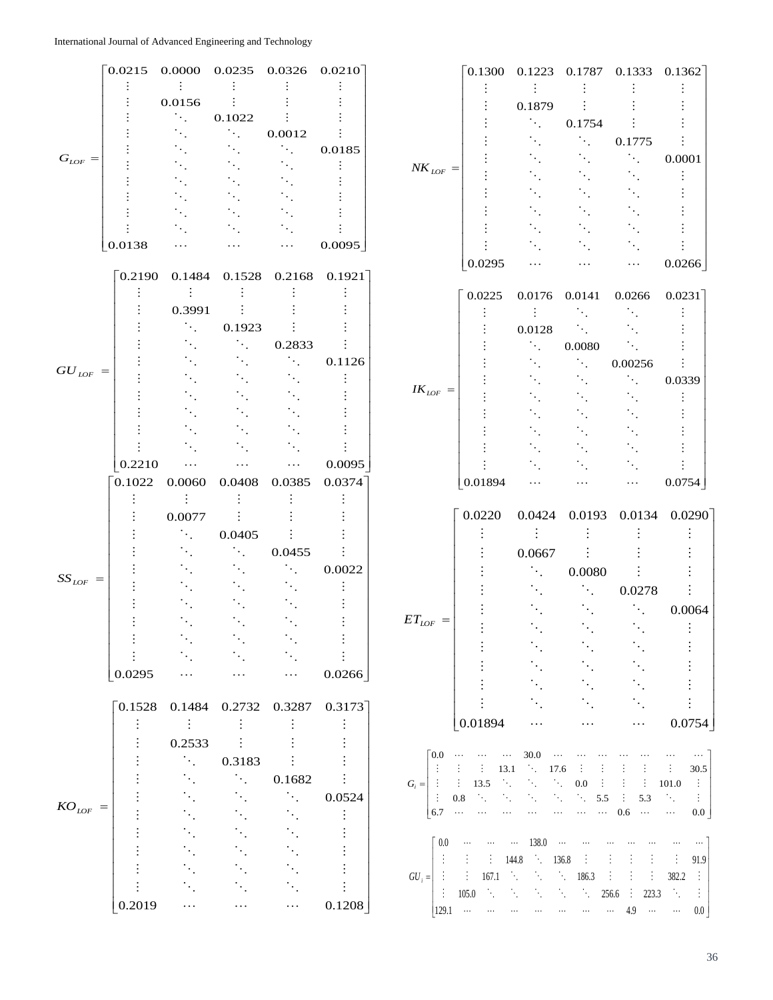|              | 0.0215                 | 0.0000                      | $0.0235$ $0.0326$ $0.0210$  |                             |                            |                                 | 0.1300                              |                                   |                                           | 0.1223 0.1787 0.1333 0.1362 |                                                  |
|--------------|------------------------|-----------------------------|-----------------------------|-----------------------------|----------------------------|---------------------------------|-------------------------------------|-----------------------------------|-------------------------------------------|-----------------------------|--------------------------------------------------|
|              |                        |                             |                             |                             |                            |                                 |                                     |                                   |                                           |                             |                                                  |
|              |                        | 0.0156                      |                             |                             |                            |                                 |                                     | 0.1879                            |                                           |                             |                                                  |
|              |                        | $\sim$                      | 0.1022                      |                             |                            |                                 |                                     | $\mathcal{A}_{\mathcal{A}}$       | 0.1754                                    |                             |                                                  |
|              |                        |                             | $\sim$                      | 0.0012                      |                            |                                 |                                     |                                   | $\mathcal{F}_{\mathcal{F}_{\mathcal{G}}}$ | 0.1775                      |                                                  |
|              |                        |                             |                             | $\sim$                      | 0.0185                     |                                 |                                     |                                   |                                           |                             |                                                  |
| $G_{LOF} =$  |                        |                             |                             |                             |                            | $NK_{LOF}$ =                    |                                     |                                   |                                           |                             | 0.0001                                           |
|              |                        |                             |                             |                             |                            |                                 |                                     |                                   |                                           |                             |                                                  |
|              |                        |                             |                             |                             |                            |                                 |                                     |                                   |                                           |                             |                                                  |
|              |                        |                             |                             |                             |                            |                                 |                                     |                                   |                                           |                             |                                                  |
|              |                        |                             |                             |                             |                            |                                 |                                     |                                   |                                           |                             |                                                  |
|              | 0.0138                 | .                           |                             | $\cdots$                    | 0.0095                     |                                 |                                     |                                   |                                           |                             |                                                  |
|              | $\lceil 0.2190 \rceil$ | 0.1484                      |                             |                             | $0.1528$ $0.2168$ $0.1921$ |                                 | 0.0295                              |                                   |                                           | $\cdots$                    | 0.0266                                           |
|              |                        |                             |                             |                             |                            |                                 | 0.0225                              | 0.0176                            | 0.0141                                    | 0.0266                      | $0.0231$ ]                                       |
|              |                        | 0.3991                      |                             |                             |                            |                                 |                                     |                                   |                                           |                             |                                                  |
|              |                        | $\mathcal{L}_{\mathcal{A}}$ | 0.1923                      |                             |                            |                                 |                                     | $0.0128\,$                        | ٠.                                        |                             |                                                  |
|              |                        |                             | $\mathcal{A}_{\mathcal{A}}$ | 0.2833                      |                            |                                 |                                     |                                   | $0.0080\,$                                | $\ddotsc$                   |                                                  |
|              |                        |                             |                             | $\ddot{\phantom{a}}$ .      | 0.1126                     |                                 |                                     |                                   | ÷.                                        | 0.00256                     |                                                  |
| $GU_{LOF}$ = |                        |                             |                             |                             |                            |                                 |                                     |                                   |                                           | ٠.                          |                                                  |
|              |                        |                             |                             |                             |                            | $IK_{LOF}$ =                    |                                     |                                   |                                           |                             | 0.0339                                           |
|              |                        |                             |                             |                             |                            |                                 |                                     |                                   |                                           |                             |                                                  |
|              |                        |                             |                             |                             |                            |                                 |                                     |                                   |                                           |                             |                                                  |
|              |                        |                             |                             |                             |                            |                                 |                                     |                                   |                                           |                             |                                                  |
|              |                        |                             |                             |                             |                            |                                 |                                     |                                   |                                           |                             |                                                  |
|              | 0.2210                 | .                           |                             | $\ldots$                    | 0.0095                     |                                 |                                     |                                   |                                           |                             |                                                  |
|              | 0.1022                 | 0.0060                      | 0.0408                      | 0.0385                      | 0.0374                     |                                 | 0.01894                             |                                   |                                           | $\ddotsc$                   | 0.0754                                           |
|              |                        |                             |                             |                             |                            |                                 |                                     |                                   |                                           |                             |                                                  |
|              |                        | 0.0077                      |                             |                             |                            |                                 | 0.0220                              | 0.0424                            | 0.0193                                    | 0.0134                      | 0.0290                                           |
|              |                        | $\ddot{\phantom{a}}$ .      | 0.0405                      |                             |                            |                                 |                                     |                                   |                                           |                             |                                                  |
|              |                        |                             | $\mathcal{L}_{\mathcal{A}}$ | 0.0455                      |                            |                                 |                                     | 0.0667                            |                                           |                             |                                                  |
|              |                        |                             |                             | ÷.                          | 0.0022                     |                                 |                                     |                                   |                                           |                             |                                                  |
| $SS_{LOF}$ = |                        |                             |                             |                             |                            |                                 |                                     | ÎΥ.                               | 0.0080                                    |                             |                                                  |
|              |                        |                             |                             |                             |                            |                                 |                                     |                                   | $\ddot{\phantom{a}}$                      | 0.0278                      |                                                  |
|              |                        |                             |                             |                             |                            |                                 |                                     |                                   |                                           | $\mathcal{F}_{\mathcal{L}}$ | 0.0064                                           |
|              |                        |                             |                             |                             |                            | $ET_{LOF}$ =                    |                                     |                                   |                                           |                             |                                                  |
|              |                        |                             |                             |                             |                            |                                 |                                     |                                   |                                           |                             |                                                  |
|              |                        |                             |                             |                             |                            |                                 |                                     |                                   |                                           |                             |                                                  |
|              | 0.0295                 |                             |                             | $\cdots$                    | 0.0266                     |                                 |                                     |                                   |                                           |                             |                                                  |
|              |                        |                             |                             |                             |                            |                                 |                                     |                                   |                                           |                             |                                                  |
|              | $\lceil 0.1528\rceil$  |                             | 0.1484 0.2732               | 0.3287                      | 0.3173                     |                                 |                                     |                                   |                                           |                             |                                                  |
|              |                        | -91                         |                             |                             |                            |                                 | 0.01894                             | .                                 | $\cdots$                                  | $\cdots$                    | 0.0754                                           |
|              |                        | 0.2533                      |                             |                             |                            |                                 |                                     |                                   |                                           |                             |                                                  |
|              |                        | $\mathcal{O}_{\mathcal{A}}$ | 0.3183                      |                             |                            | $\lceil 0.0 \rceil$<br>$\cdots$ | $\cdots$<br>$\ldots$                | 30.0                              |                                           |                             |                                                  |
|              |                        |                             | $\mathcal{L}_{\mathcal{L}}$ | 0.1682                      |                            | ÷                               | 13.1<br>÷                           | in a<br>17.6                      |                                           |                             | ÷<br>30.5                                        |
|              |                        |                             |                             | $\mathcal{O}_{\mathcal{A}}$ |                            | $G_i =$ :<br>- 90               | 13.5<br>$\mathcal{L}_{\mathcal{L}}$ | $\mathcal{A}_{\mathcal{A}}$<br>٠. | 0.0                                       | ÷                           | 101.0<br>$\mathbb{R}^n$                          |
| $KO_{LOF} =$ |                        |                             |                             |                             | 0.0524                     | ÷<br>0.8<br>6.7<br>$\ldots$     |                                     |                                   | 5.5<br>$\cdots$<br>$\ldots$               | 5.3<br>0.6<br>$\dots$       | $\langle \cdot \rangle$<br>÷.<br>$\ldots$<br>0.0 |
|              |                        |                             |                             |                             |                            |                                 |                                     |                                   |                                           |                             |                                                  |
|              |                        |                             |                             |                             |                            | 0.0                             | $\cdots$                            | 138.0<br>$\ldots$                 | $\cdots$                                  |                             |                                                  |
|              |                        |                             |                             |                             |                            | ÷                               | ÷                                   | 144.8                             |                                           |                             | 91.9<br>÷                                        |
|              |                        |                             |                             |                             |                            |                                 |                                     |                                   | 136.8                                     |                             |                                                  |
|              |                        |                             |                             |                             |                            | $GU_i =$ :                      | 167.1<br>in Brit                    | $\mathcal{A}_1$<br>٦.             | $\mathcal{A}_{\mathcal{A}}$<br>186.3      | ÷                           | 382.2<br>÷                                       |
|              | 0.2019                 | $\cdots$                    | $\ldots$                    | $\ldots$                    | 0.1208                     | $\mathcal{L}^{\mathcal{L}}$     | 105.0                               |                                   | Ĥ.<br>Ĥ.                                  | ÷<br>223.3<br>256.6         | $\mathcal{A}_1$<br>÷                             |
|              |                        |                             |                             |                             |                            | 129.1                           | $\cdots$<br>$\ldots$                |                                   | $\ldots$                                  | 4.9<br>$\cdots$             | $\sim 100\,$ km $^{-1}$ and $\sim 100\,$<br>0.0  |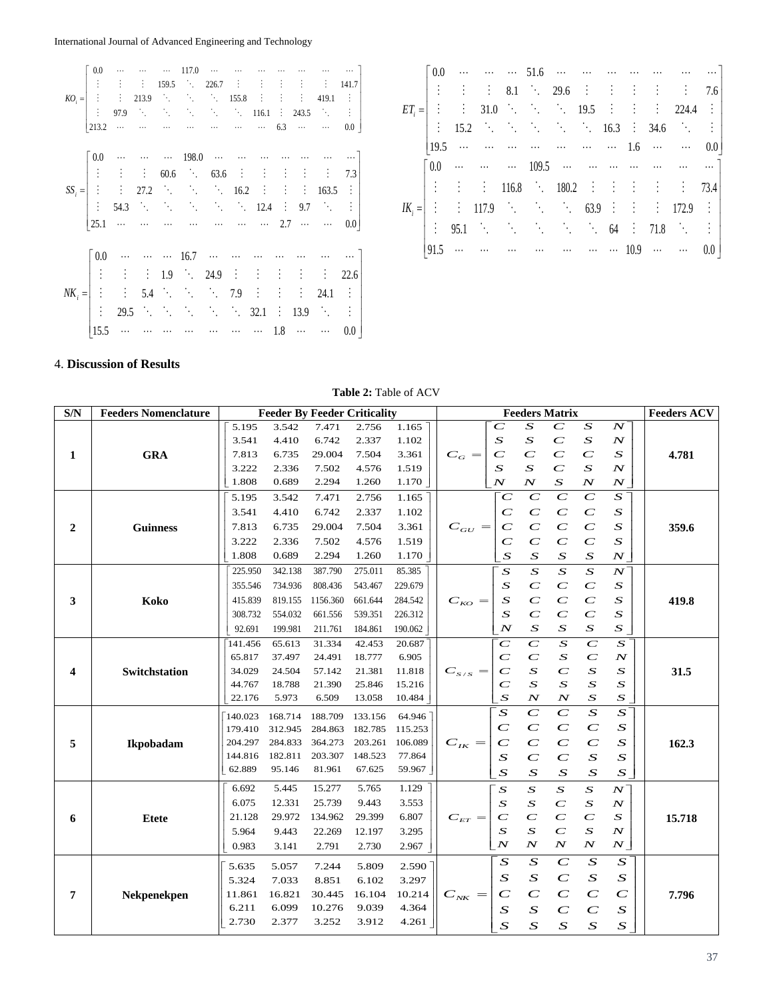International Journal of Advanced Engineering and Technology

| $KO_i = \begin{bmatrix} 0.0 & \cdots & \cdots & \cdots & 117.0 & \cdots & \cdots & \cdots & \cdots & \cdots & \cdots & \cdots \\ \vdots & \vdots & \vdots & 159.5 & \ddots & 226.7 & \vdots & \vdots & \vdots & \vdots & \vdots & 141.7 \\ \vdots & \vdots & 213.9 & \ddots & \ddots & \ddots & \ddots & 155.8 & \vdots & \vdots & \vdots & 419.1 & \vdots \\ \vdots & 97.9 & \ddots & \ddots & \ddots & \ddots & \ddots & 116.1 & \vdots &$        |  |  |  |  |  |  |
|-----------------------------------------------------------------------------------------------------------------------------------------------------------------------------------------------------------------------------------------------------------------------------------------------------------------------------------------------------------------------------------------------------------------------------------------------------|--|--|--|--|--|--|
|                                                                                                                                                                                                                                                                                                                                                                                                                                                     |  |  |  |  |  |  |
|                                                                                                                                                                                                                                                                                                                                                                                                                                                     |  |  |  |  |  |  |
|                                                                                                                                                                                                                                                                                                                                                                                                                                                     |  |  |  |  |  |  |
|                                                                                                                                                                                                                                                                                                                                                                                                                                                     |  |  |  |  |  |  |
| $SS_i = \begin{bmatrix} 0.0 & \cdots & \cdots & \cdots & 198.0 & \cdots & \cdots & \cdots & \cdots & \cdots & \cdots & \cdots \\ \vdots & \vdots & \vdots & 60.6 & \ddots & 63.6 & \vdots & \vdots & \vdots & \vdots & \vdots & 7.3 \\ \vdots & \vdots & 27.2 & \ddots & \ddots & \ddots & 16.2 & \vdots & \vdots & 163.5 & \vdots \\ \vdots & 54.3 & \ddots & \ddots & \ddots & \ddots & \ddots & \ddots & 12.4 & \vdots & 9.7 & \ddots & \vd$     |  |  |  |  |  |  |
|                                                                                                                                                                                                                                                                                                                                                                                                                                                     |  |  |  |  |  |  |
|                                                                                                                                                                                                                                                                                                                                                                                                                                                     |  |  |  |  |  |  |
|                                                                                                                                                                                                                                                                                                                                                                                                                                                     |  |  |  |  |  |  |
|                                                                                                                                                                                                                                                                                                                                                                                                                                                     |  |  |  |  |  |  |
|                                                                                                                                                                                                                                                                                                                                                                                                                                                     |  |  |  |  |  |  |
|                                                                                                                                                                                                                                                                                                                                                                                                                                                     |  |  |  |  |  |  |
| $N K_i = \begin{bmatrix} 0.0 & \cdots & \cdots & \cdots & 16.7 & \cdots & \cdots & \cdots & \cdots & \cdots & \cdots & \cdots \\ \vdots & \vdots & \vdots & 1.9 & \ddots & 24.9 & \vdots & \vdots & \vdots & \vdots & \vdots & 22.6 \\ \vdots & \vdots & 5.4 & \ddots & \ddots & \ddots & 7.9 & \vdots & \vdots & \vdots & 24.1 & \vdots \\ \vdots & 29.5 & \ddots & \ddots & \ddots & \ddots & \ddots & 32.1 & \vdots & 13.9 & \ddots & \vdots \\$ |  |  |  |  |  |  |
|                                                                                                                                                                                                                                                                                                                                                                                                                                                     |  |  |  |  |  |  |
|                                                                                                                                                                                                                                                                                                                                                                                                                                                     |  |  |  |  |  |  |

|  |                |  |  |  |  | $\begin{bmatrix} 0.0 & \cdots & \cdots & \cdots & 51.6 & \cdots & \cdots & \cdots & \cdots & \cdots & \cdots & \cdots \end{bmatrix}$  |  |
|--|----------------|--|--|--|--|---------------------------------------------------------------------------------------------------------------------------------------|--|
|  |                |  |  |  |  | $\vert$ : : : 8.1 . 29.6 : : : : : : 7.6                                                                                              |  |
|  |                |  |  |  |  | $ET_i =$ $\begin{vmatrix} \vdots & \vdots & 31.0 & \ddots & \ddots & 19.5 & \vdots & \vdots & 224.4 & \vdots \end{vmatrix}$           |  |
|  |                |  |  |  |  | $\begin{vmatrix} \vdots & 15.2 & \ddots & \ddots & \ddots & \ddots & \ddots & 16.3 & \vdots & 34.6 & \ddots & \vdots \end{vmatrix}$   |  |
|  | 119.5          |  |  |  |  |                                                                                                                                       |  |
|  |                |  |  |  |  | $\begin{bmatrix} 0.0 & \cdots & \cdots & \cdots & 109.5 & \cdots & \cdots & \cdots & \cdots & \cdots & \cdots & \cdots \end{bmatrix}$ |  |
|  |                |  |  |  |  | $\vert$ : : : 116.8 $\cdot$ 180.2 : : : : : : 73.4                                                                                    |  |
|  |                |  |  |  |  | $ K_i =  $ : : 117.9 63.9 : : : 172.9 :                                                                                               |  |
|  | $\ddot{\cdot}$ |  |  |  |  | $95.1$ $\therefore$ $\therefore$ $\therefore$ $64$ $\therefore$ $71.8$ $\therefore$ $\therefore$ $\vdots$                             |  |
|  |                |  |  |  |  | 91.5        10.9   0.0                                                                                                                |  |

# 4. **Discussion of Results**

## **Table 2:** Table of ACV

| S/N          | <b>Feeders Nomenclature</b> |         |         | <b>Feeder By Feeder Criticality</b> |         |         |                                 | <b>Feeders ACV</b>       |                  |                  |                  |                  |        |
|--------------|-----------------------------|---------|---------|-------------------------------------|---------|---------|---------------------------------|--------------------------|------------------|------------------|------------------|------------------|--------|
|              |                             | 5.195   | 3.542   | 7.471                               | 2.756   | 1.165   |                                 | $\overline{C}$           | $\boldsymbol{S}$ | $\overline{C}$   | $\boldsymbol{S}$ | $N^{\dagger}$    |        |
|              |                             | 3.541   | 4.410   | 6.742                               | 2.337   | 1.102   |                                 | $\boldsymbol{S}$         | $\boldsymbol{S}$ | $\overline{C}$   | $\boldsymbol{S}$ | $\boldsymbol{N}$ |        |
| 1            | <b>GRA</b>                  | 7.813   | 6.735   | 29.004                              | 7.504   | 3.361   | $C_G =$                         | $\overline{C}$           | $\boldsymbol{C}$ | $\overline{C}$   | $\overline{C}$   | $\boldsymbol{S}$ | 4.781  |
|              |                             | 3.222   | 2.336   | 7.502                               | 4.576   | 1.519   |                                 | $\boldsymbol{S}$         | $\boldsymbol{S}$ | $\overline{C}$   | $\boldsymbol{S}$ | $\boldsymbol{N}$ |        |
|              |                             | 1.808   | 0.689   | 2.294                               | 1.260   | 1.170   |                                 | $\boldsymbol{N}$         | $\boldsymbol{N}$ | $\boldsymbol{S}$ | $\boldsymbol{N}$ | $\boldsymbol{N}$ |        |
|              |                             | 5.195   | 3.542   | 7.471                               | 2.756   | 1.165   |                                 | $\overline{C}$           | $\mathcal{C}$    | $\overline{C}$   | $\boldsymbol{C}$ | $S^{\dagger}$    |        |
|              |                             | 3.541   | 4.410   | 6.742                               | 2.337   | 1.102   |                                 | $\overline{C}$           | $\boldsymbol{C}$ | $\boldsymbol{C}$ | $\boldsymbol{C}$ | $\boldsymbol{S}$ |        |
| $\mathbf{2}$ | <b>Guinness</b>             | 7.813   | 6.735   | 29.004                              | 7.504   | 3.361   | $C_{GU} =$                      | $\boldsymbol{C}$         | $\boldsymbol{C}$ | $\boldsymbol{C}$ | $\boldsymbol{C}$ | $\boldsymbol{S}$ | 359.6  |
|              |                             | 3.222   | 2.336   | 7.502                               | 4.576   | 1.519   |                                 | $\boldsymbol{C}$         | $\boldsymbol{C}$ | $\boldsymbol{C}$ | $\boldsymbol{C}$ | $\boldsymbol{S}$ |        |
|              |                             | 1.808   | 0.689   | 2.294                               | 1.260   | 1.170   |                                 | $\boldsymbol{S}$         | $\boldsymbol{S}$ | $\boldsymbol{S}$ | $\boldsymbol{S}$ | $\boldsymbol{N}$ |        |
|              |                             | 225.950 | 342.138 | 387.790                             | 275.011 | 85.385  |                                 | $\overline{S}$           | $\boldsymbol{S}$ | $\boldsymbol{S}$ | $\boldsymbol{S}$ | $N^{^{\prime}}$  |        |
|              |                             | 355.546 | 734.936 | 808.436                             | 543.467 | 229.679 |                                 | $\boldsymbol{S}$         | $\overline{C}$   | $\overline{C}$   | $\overline{C}$   | $\boldsymbol{S}$ |        |
| 3            | Koko                        | 415.839 | 819.155 | 1156.360                            | 661.644 | 284.542 | $C_{KO} =$                      | $\overline{\mathcal{S}}$ | $\overline{C}$   | $\overline{C}$   | $\overline{C}$   | $\boldsymbol{S}$ | 419.8  |
|              |                             | 308.732 | 554.032 | 661.556                             | 539.351 | 226.312 |                                 | $\boldsymbol{S}$         | $\overline{C}$   | $\overline{C}$   | $\overline{C}$   | $\boldsymbol{S}$ |        |
|              |                             | 92.691  | 199.981 | 211.761                             | 184.861 | 190.062 |                                 | $\boldsymbol{N}$         | $\boldsymbol{S}$ | $\boldsymbol{S}$ | $\boldsymbol{S}$ | $\boldsymbol{S}$ |        |
|              |                             | 141.456 | 65.613  | 31.334                              | 42.453  | 20.687  |                                 | $\overline{C}$           | $\overline{C}$   | $\overline{S}$   | $\overline{C}$   | $\boldsymbol{S}$ |        |
|              |                             | 65.817  | 37.497  | 24.491                              | 18.777  | 6.905   |                                 | $\overline{C}$           | $\overline{C}$   | $\boldsymbol{S}$ | $\overline{C}$   | $\boldsymbol{N}$ |        |
| 4            | Switchstation               | 34.029  | 24.504  | 57.142                              | 21.381  | 11.818  | $C_{\scriptscriptstyle S/S} =$  | $\boldsymbol{C}$         | $\boldsymbol{S}$ | $\boldsymbol{C}$ | $\boldsymbol{S}$ | $\boldsymbol{S}$ | 31.5   |
|              |                             | 44.767  | 18.788  | 21.390                              | 25.846  | 15.216  |                                 | $\overline{C}$           | $\boldsymbol{S}$ | $\boldsymbol{S}$ | $\boldsymbol{S}$ | $\boldsymbol{S}$ |        |
|              |                             | 22.176  | 5.973   | 6.509                               | 13.058  | 10.484  |                                 | $\boldsymbol{S}$         | $\boldsymbol{N}$ | $\boldsymbol{N}$ | $\boldsymbol{S}$ | $\boldsymbol{S}$ |        |
|              |                             | 140.023 | 168.714 | 188.709                             | 133.156 | 64.946  |                                 | $\boldsymbol{S}$         | $\overline{C}$   | $\overline{C}$   | $\overline{S}$   | $\overline{S}$   |        |
|              |                             | 179.410 | 312.945 | 284.863                             | 182.785 | 115.253 |                                 | $\overline{C}$           | $\overline{C}$   | $\overline{C}$   | $\boldsymbol{C}$ | $\boldsymbol{S}$ |        |
| 5            | Ikpobadam                   | 204.297 | 284.833 | 364.273                             | 203.261 | 106.089 | $C_{IK} =$                      | $\mathbf C$              | $\boldsymbol{C}$ | $\boldsymbol{C}$ | $\boldsymbol{C}$ | $\boldsymbol{S}$ | 162.3  |
|              |                             | 144.816 | 182.811 | 203.307                             | 148.523 | 77.864  |                                 | $\boldsymbol{S}$         | $\overline{C}$   | $\overline{C}$   | $\boldsymbol{S}$ | $\boldsymbol{S}$ |        |
|              |                             | 62.889  | 95.146  | 81.961                              | 67.625  | 59.967  |                                 | $\boldsymbol{S}$         | $\boldsymbol{S}$ | $\boldsymbol{S}$ | $\boldsymbol{S}$ | $\boldsymbol{S}$ |        |
|              |                             | 6.692   | 5.445   | 15.277                              | 5.765   | 1.129   |                                 | $\boldsymbol{S}$         | $\boldsymbol{S}$ | $\boldsymbol{S}$ | $\boldsymbol{S}$ | N                |        |
|              |                             | 6.075   | 12.331  | 25.739                              | 9.443   | 3.553   |                                 | $\boldsymbol{S}$         | $\boldsymbol{S}$ | $\boldsymbol{C}$ | $\boldsymbol{S}$ | $\boldsymbol{N}$ |        |
| 6            | <b>Etete</b>                | 21.128  | 29.972  | 134.962                             | 29.399  | 6.807   | $C_{\scriptscriptstyle ET} =$   | $\overline{C}$           | $\overline{C}$   | $\overline{C}$   | $\overline{C}$   | $\boldsymbol{S}$ | 15.718 |
|              |                             | 5.964   | 9.443   | 22.269                              | 12.197  | 3.295   |                                 | $\boldsymbol{S}$         | $\boldsymbol{S}$ | $\overline{C}$   | $\boldsymbol{S}$ | $\boldsymbol{N}$ |        |
|              |                             | 0.983   | 3.141   | 2.791                               | 2.730   | 2.967   |                                 | $\boldsymbol{N}$         | $\boldsymbol{N}$ | $\boldsymbol{N}$ | $\boldsymbol{N}$ | $\boldsymbol{N}$ |        |
|              |                             | 5.635   | 5.057   | 7.244                               | 5.809   | 2.590   |                                 | $\boldsymbol{S}$         | $\boldsymbol{S}$ | $\overline{C}$   | $\boldsymbol{S}$ | $\boldsymbol{S}$ |        |
|              |                             | 5.324   | 7.033   | 8.851                               | 6.102   | 3.297   |                                 | $\boldsymbol{S}$         | $\boldsymbol{S}$ | $\overline{C}$   | $\boldsymbol{S}$ | $\boldsymbol{S}$ |        |
| 7            | Nekpenekpen                 | 11.861  | 16.821  | 30.445                              | 16.104  | 10.214  | $C_{\scriptscriptstyle N\!K} =$ | $\overline{C}$           | $\overline{C}$   | $\overline{C}$   | $\boldsymbol{C}$ | $\boldsymbol{C}$ | 7.796  |
|              |                             | 6.211   | 6.099   | 10.276                              | 9.039   | 4.364   |                                 | $\boldsymbol{S}$         | $\boldsymbol{S}$ | $\mathbf C$      | $\boldsymbol{C}$ | $\boldsymbol{S}$ |        |
|              |                             | 2.730   | 2.377   | 3.252                               | 3.912   | 4.261   |                                 | $\overline{S}$           | $\overline{S}$   | $\overline{S}$   | $\boldsymbol{S}$ | $\boldsymbol{S}$ |        |
|              |                             |         |         |                                     |         |         |                                 |                          |                  |                  |                  |                  |        |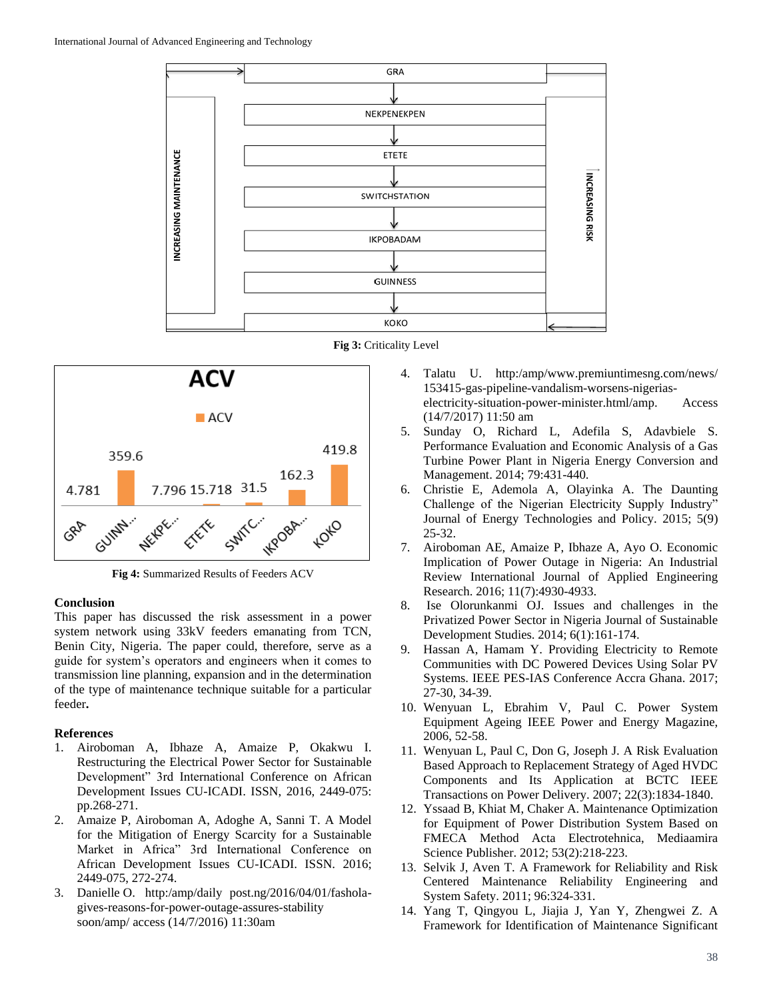





**Fig 4:** Summarized Results of Feeders ACV

### **Conclusion**

This paper has discussed the risk assessment in a power system network using 33kV feeders emanating from TCN, Benin City, Nigeria. The paper could, therefore, serve as a guide for system's operators and engineers when it comes to transmission line planning, expansion and in the determination of the type of maintenance technique suitable for a particular feeder**.**

## **References**

- 1. Airoboman A, Ibhaze A, Amaize P, Okakwu I. Restructuring the Electrical Power Sector for Sustainable Development" 3rd International Conference on African Development Issues CU-ICADI. ISSN, 2016, 2449-075: pp.268-271.
- 2. Amaize P, Airoboman A, Adoghe A, Sanni T. A Model for the Mitigation of Energy Scarcity for a Sustainable Market in Africa" 3rd International Conference on African Development Issues CU-ICADI. ISSN. 2016; 2449-075, 272-274.
- 3. Danielle O. http:/amp/daily post.ng/2016/04/01/fasholagives-reasons-for-power-outage-assures-stability soon/amp/ access (14/7/2016) 11:30am
- 4. Talatu U. http:/amp/www.premiuntimesng.com/news/ 153415-gas-pipeline-vandalism-worsens-nigeriaselectricity-situation-power-minister.html/amp. Access (14/7/2017) 11:50 am
- 5. Sunday O, Richard L, Adefila S, Adavbiele S. Performance Evaluation and Economic Analysis of a Gas Turbine Power Plant in Nigeria Energy Conversion and Management. 2014; 79:431-440.
- 6. Christie E, Ademola A, Olayinka A. The Daunting Challenge of the Nigerian Electricity Supply Industry" Journal of Energy Technologies and Policy. 2015; 5(9) 25-32.
- 7. Airoboman AE, Amaize P, Ibhaze A, Ayo O. Economic Implication of Power Outage in Nigeria: An Industrial Review International Journal of Applied Engineering Research. 2016; 11(7):4930-4933.
- 8. Ise Olorunkanmi OJ. Issues and challenges in the Privatized Power Sector in Nigeria Journal of Sustainable Development Studies. 2014; 6(1):161-174.
- 9. Hassan A, Hamam Y. Providing Electricity to Remote Communities with DC Powered Devices Using Solar PV Systems. IEEE PES-IAS Conference Accra Ghana. 2017; 27-30, 34-39.
- 10. Wenyuan L, Ebrahim V, Paul C. Power System Equipment Ageing IEEE Power and Energy Magazine, 2006, 52-58.
- 11. Wenyuan L, Paul C, Don G, Joseph J. A Risk Evaluation Based Approach to Replacement Strategy of Aged HVDC Components and Its Application at BCTC IEEE Transactions on Power Delivery. 2007; 22(3):1834-1840.
- 12. Yssaad B, Khiat M, Chaker A. Maintenance Optimization for Equipment of Power Distribution System Based on FMECA Method Acta Electrotehnica, Mediaamira Science Publisher. 2012; 53(2):218-223.
- 13. Selvik J, Aven T. A Framework for Reliability and Risk Centered Maintenance Reliability Engineering and System Safety. 2011; 96:324-331.
- 14. Yang T, Qingyou L, Jiajia J, Yan Y, Zhengwei Z. A Framework for Identification of Maintenance Significant